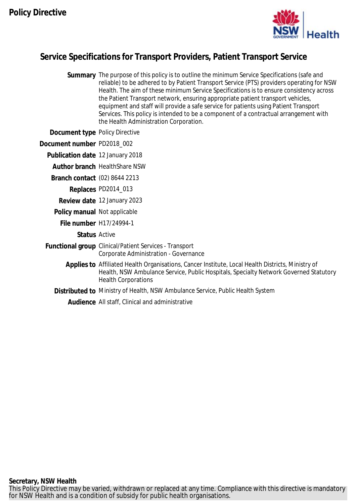

# **Service Specifications for Transport Providers, Patient Transport Service**

**Summary** The purpose of this policy is to outline the minimum Service Specifications (safe and reliable) to be adhered to by Patient Transport Service (PTS) providers operating for NSW Health. The aim of these minimum Service Specifications is to ensure consistency across the Patient Transport network, ensuring appropriate patient transport vehicles, equipment and staff will provide a safe service for patients using Patient Transport Services. This policy is intended to be a component of a contractual arrangement with the Health Administration Corporation.

**Document type** Policy Directive

- **Document number** PD2018\_002
	- **Publication date** 12 January 2018

**Author branch** HealthShare NSW

- **Branch contact** (02) 8644 2213
	- **Replaces** PD2014\_013
	- **Review date** 12 January 2023
- **Policy manual** Not applicable
	- **File number** H17/24994-1
		- **Status** Active
- **Functional group** Clinical/Patient Services Transport Corporate Administration - Governance
	- **Applies to** Affiliated Health Organisations, Cancer Institute, Local Health Districts, Ministry of Health, NSW Ambulance Service, Public Hospitals, Specialty Network Governed Statutory Health Corporations
	- **Distributed to** Ministry of Health, NSW Ambulance Service, Public Health System

**Audience** All staff, Clinical and administrative

This Policy Directive may be varied, withdrawn or replaced at any time. Compliance with this directive is mandatory for NSW Health and is a condition of subsidy for public health organisations.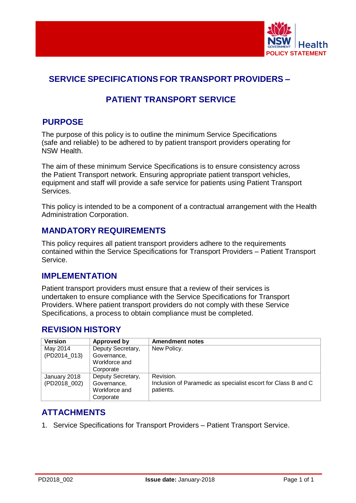

# **SERVICE SPECIFICATIONS FOR TRANSPORT PROVIDERS –**

# **PATIENT TRANSPORT SERVICE**

# **PURPOSE**

The purpose of this policy is to outline the minimum Service Specifications (safe and reliable) to be adhered to by patient transport providers operating for NSW Health.

The aim of these minimum Service Specifications is to ensure consistency across the Patient Transport network. Ensuring appropriate patient transport vehicles, equipment and staff will provide a safe service for patients using Patient Transport Services.

This policy is intended to be a component of a contractual arrangement with the Health Administration Corporation.

## **MANDATORY REQUIREMENTS**

This policy requires all patient transport providers adhere to the requirements contained within the Service Specifications for Transport Providers – Patient Transport Service.

#### **IMPLEMENTATION**

Patient transport providers must ensure that a review of their services is undertaken to ensure compliance with the Service Specifications for Transport Providers. Where patient transport providers do not comply with these Service Specifications, a process to obtain compliance must be completed.

# **REVISION HISTORY**

| <b>Version</b> | Approved by       | <b>Amendment notes</b>                                        |
|----------------|-------------------|---------------------------------------------------------------|
| May 2014       | Deputy Secretary, | New Policy.                                                   |
| (PD2014_013)   | Governance,       |                                                               |
|                | Workforce and     |                                                               |
|                | Corporate         |                                                               |
| January 2018   | Deputy Secretary, | Revision.                                                     |
| (PD2018_002)   | Governance,       | Inclusion of Paramedic as specialist escort for Class B and C |
|                | Workforce and     | patients.                                                     |
|                | Corporate         |                                                               |

# **ATTACHMENTS**

1. Service Specifications for Transport Providers – Patient Transport Service.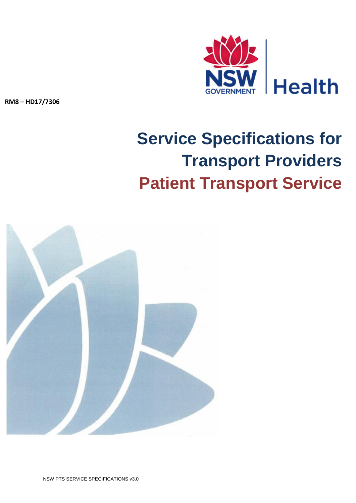**Health** 

**RM8 – HD17/7306** 

# **Service Specifications for Transport Providers Patient Transport Service**

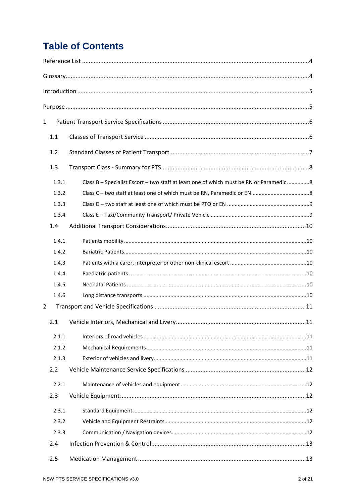# **Table of Contents**

| $\mathbf{1}$   |       |                                                                                         |  |
|----------------|-------|-----------------------------------------------------------------------------------------|--|
| 1.1            |       |                                                                                         |  |
| 1.2            |       |                                                                                         |  |
| 1.3            |       |                                                                                         |  |
|                | 1.3.1 | Class B - Specialist Escort - two staff at least one of which must be RN or Paramedic 8 |  |
|                | 1.3.2 |                                                                                         |  |
|                | 1.3.3 |                                                                                         |  |
|                | 1.3.4 |                                                                                         |  |
| 1.4            |       |                                                                                         |  |
|                | 1.4.1 |                                                                                         |  |
|                | 1.4.2 |                                                                                         |  |
|                | 1.4.3 |                                                                                         |  |
|                | 1.4.4 |                                                                                         |  |
|                | 1.4.5 |                                                                                         |  |
|                | 1.4.6 |                                                                                         |  |
| $\overline{2}$ |       |                                                                                         |  |
| 2.1            |       |                                                                                         |  |
|                | 2.1.1 |                                                                                         |  |
|                | 2.1.2 |                                                                                         |  |
|                | 2.1.3 |                                                                                         |  |
| 2.2            |       |                                                                                         |  |
|                | 2.2.1 |                                                                                         |  |
| 2.3            |       |                                                                                         |  |
|                | 2.3.1 |                                                                                         |  |
|                | 2.3.2 |                                                                                         |  |
|                | 2.3.3 |                                                                                         |  |
| 2.4            |       |                                                                                         |  |
| 2.5            |       |                                                                                         |  |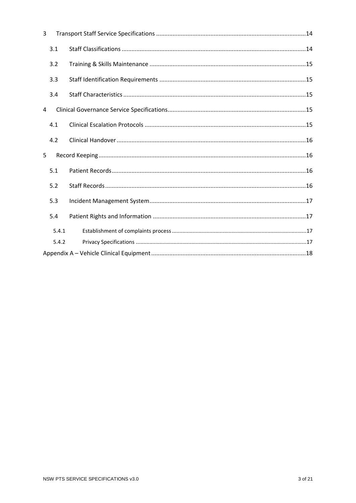| 3 |       |  |
|---|-------|--|
|   | 3.1   |  |
|   | 3.2   |  |
|   | 3.3   |  |
|   | 3.4   |  |
| 4 |       |  |
|   | 4.1   |  |
|   | 4.2   |  |
| 5 |       |  |
|   | 5.1   |  |
|   | 5.2   |  |
|   | 5.3   |  |
|   | 5.4   |  |
|   | 5.4.1 |  |
|   | 5.4.2 |  |
|   |       |  |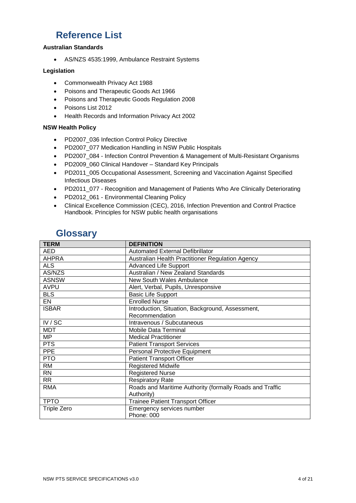# <span id="page-5-0"></span>**Reference List**

#### **Australian Standards**

AS/NZS 4535:1999, Ambulance Restraint Systems

#### **Legislation**

- Commonwealth Privacy Act 1988
- Poisons and Therapeutic Goods Act 1966
- Poisons and Therapeutic Goods Regulation 2008
- Poisons List 2012
- Health Records and Information Privacy Act 2002

#### **NSW Health Policy**

- PD2007\_036 Infection Control Policy Directive
- PD2007\_077 Medication Handling in NSW Public Hospitals
- PD2007\_084 Infection Control Prevention & Management of Multi-Resistant Organisms
- PD2009\_060 Clinical Handover Standard Key Principals
- PD2011\_005 Occupational Assessment, Screening and Vaccination Against Specified Infectious Diseases
- PD2011\_077 Recognition and Management of Patients Who Are Clinically Deteriorating
- PD2012\_061 Environmental Cleaning Policy
- Clinical Excellence Commission (CEC), 2016, Infection Prevention and Control Practice Handbook. Principles for NSW public health organisations

# **Glossary**

<span id="page-5-1"></span>

| <b>TERM</b>        | <b>DEFINITION</b>                                        |  |
|--------------------|----------------------------------------------------------|--|
| <b>AED</b>         | <b>Automated External Defibrillator</b>                  |  |
| <b>AHPRA</b>       | Australian Health Practitioner Regulation Agency         |  |
| <b>ALS</b>         | <b>Advanced Life Support</b>                             |  |
| AS/NZS             | Australian / New Zealand Standards                       |  |
| <b>ASNSW</b>       | New South Wales Ambulance                                |  |
| <b>AVPU</b>        | Alert, Verbal, Pupils, Unresponsive                      |  |
| <b>BLS</b>         | <b>Basic Life Support</b>                                |  |
| EN                 | <b>Enrolled Nurse</b>                                    |  |
| <b>ISBAR</b>       | Introduction, Situation, Background, Assessment,         |  |
|                    | Recommendation                                           |  |
| IV / SC            | Intravenous / Subcutaneous                               |  |
| <b>MDT</b>         | Mobile Data Terminal                                     |  |
| MP                 | <b>Medical Practitioner</b>                              |  |
| <b>PTS</b>         | <b>Patient Transport Services</b>                        |  |
| <b>PPE</b>         | <b>Personal Protective Equipment</b>                     |  |
| <b>PTO</b>         | <b>Patient Transport Officer</b>                         |  |
| <b>RM</b>          | Registered Midwife                                       |  |
| <b>RN</b>          | <b>Registered Nurse</b>                                  |  |
| <b>RR</b>          | <b>Respiratory Rate</b>                                  |  |
| <b>RMA</b>         | Roads and Maritime Authority (formally Roads and Traffic |  |
|                    | Authority)                                               |  |
| <b>TPTO</b>        | <b>Trainee Patient Transport Officer</b>                 |  |
| <b>Triple Zero</b> | Emergency services number                                |  |
|                    | Phone: 000                                               |  |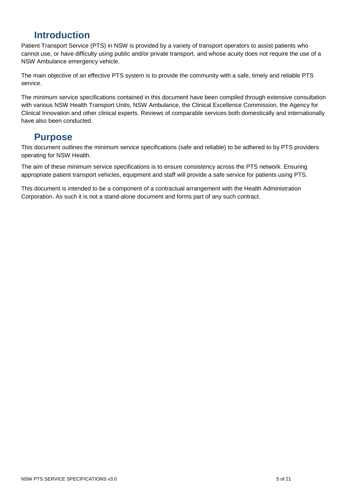# **Introduction**

<span id="page-6-0"></span>Patient Transport Service (PTS) in NSW is provided by a variety of transport operators to assist patients who cannot use, or have difficulty using public and/or private transport, and whose acuity does not require the use of a NSW Ambulance emergency vehicle.

The main objective of an effective PTS system is to provide the community with a safe, timely and reliable PTS service.

The minimum service specifications contained in this document have been compiled through extensive consultation with various NSW Health Transport Units, NSW Ambulance, the Clinical Excellence Commission, the Agency for Clinical Innovation and other clinical experts. Reviews of comparable services both domestically and internationally have also been conducted.

# **Purpose**

<span id="page-6-1"></span>This document outlines the minimum service specifications (safe and reliable) to be adhered to by PTS providers operating for NSW Health.

The aim of these minimum service specifications is to ensure consistency across the PTS network. Ensuring appropriate patient transport vehicles, equipment and staff will provide a safe service for patients using PTS.

This document is intended to be a component of a contractual arrangement with the Health Administration Corporation. As such it is not a stand-alone document and forms part of any such contract.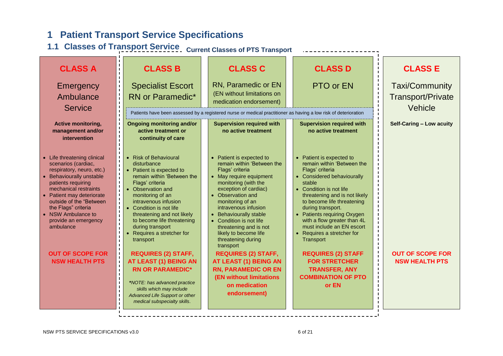# **1 Patient Transport Service Specifications**

# **1.1 Classes of Transport Service** Current Classes of PTS Transport

<span id="page-7-1"></span><span id="page-7-0"></span>

| <b>CLASS A</b>                                                                                                                                                                                                                                                                                            | <b>CLASS B</b>                                                                                                                                                                                                                                                                                                                       | <b>CLASS C</b>                                                                                                                                                                                                                                                                                                                                                    | <b>CLASS D</b>                                                                                                                                                                                                                                                                                                                                                       | <b>CLASS E</b>                                    |
|-----------------------------------------------------------------------------------------------------------------------------------------------------------------------------------------------------------------------------------------------------------------------------------------------------------|--------------------------------------------------------------------------------------------------------------------------------------------------------------------------------------------------------------------------------------------------------------------------------------------------------------------------------------|-------------------------------------------------------------------------------------------------------------------------------------------------------------------------------------------------------------------------------------------------------------------------------------------------------------------------------------------------------------------|----------------------------------------------------------------------------------------------------------------------------------------------------------------------------------------------------------------------------------------------------------------------------------------------------------------------------------------------------------------------|---------------------------------------------------|
| Emergency<br>Ambulance                                                                                                                                                                                                                                                                                    | <b>Specialist Escort</b><br><b>RN</b> or Paramedic*                                                                                                                                                                                                                                                                                  | RN, Paramedic or EN<br>(EN without limitations on<br>medication endorsement)                                                                                                                                                                                                                                                                                      | PTO or EN                                                                                                                                                                                                                                                                                                                                                            | <b>Taxi/Community</b><br><b>Transport/Private</b> |
| <b>Service</b>                                                                                                                                                                                                                                                                                            |                                                                                                                                                                                                                                                                                                                                      | Patients have been assessed by a registered nurse or medical practitioner as having a low risk of deterioration                                                                                                                                                                                                                                                   |                                                                                                                                                                                                                                                                                                                                                                      | Vehicle                                           |
| <b>Active monitoring,</b><br>management and/or<br>intervention                                                                                                                                                                                                                                            | <b>Ongoing monitoring and/or</b><br>active treatment or<br>continuity of care                                                                                                                                                                                                                                                        | <b>Supervision required with</b><br>no active treatment                                                                                                                                                                                                                                                                                                           | <b>Supervision required with</b><br>no active treatment                                                                                                                                                                                                                                                                                                              | Self-Caring - Low acuity                          |
| • Life threatening clinical<br>scenarios (cardiac,<br>respiratory, neuro, etc.)<br><b>Behaviourally unstable</b><br>patients requiring<br>mechanical restraints<br>• Patient may deteriorate<br>outside of the "Between<br>the Flags" criteria<br>• NSW Ambulance to<br>provide an emergency<br>ambulance | • Risk of Behavioural<br>disturbance<br>• Patient is expected to<br>remain within 'Between the<br>Flags' criteria<br>• Observation and<br>monitoring of an<br>intravenous infusion<br>Condition is not life<br>threatening and not likely<br>to become life threatening<br>during transport<br>Requires a stretcher for<br>transport | • Patient is expected to<br>remain within 'Between the<br>Flags' criteria<br>• May require equipment<br>monitoring (with the<br>exception of cardiac)<br>• Observation and<br>monitoring of an<br>intravenous infusion<br>• Behaviourally stable<br>• Condition is not life<br>threatening and is not<br>likely to become life<br>threatening during<br>transport | • Patient is expected to<br>remain within 'Between the<br>Flags' criteria<br>• Considered behaviourally<br>stable<br>• Condition is not life<br>threatening and is not likely<br>to become life threatening<br>during transport.<br>• Patients requiring Oxygen<br>with a flow greater than 4L<br>must include an EN escort<br>Requires a stretcher for<br>Transport |                                                   |
| <b>OUT OF SCOPE FOR</b><br><b>NSW HEALTH PTS</b>                                                                                                                                                                                                                                                          | <b>REQUIRES (2) STAFF,</b><br><b>AT LEAST (1) BEING AN</b><br><b>RN OR PARAMEDIC*</b><br>*NOTE: has advanced practice<br>skills which may include<br>Advanced Life Support or other<br>medical subspecialty skills.                                                                                                                  | <b>REQUIRES (2) STAFF,</b><br>AT LEAST (1) BEING AN<br><b>RN, PARAMEDIC OR EN</b><br><b>(EN without limitations</b><br>on medication<br>endorsement)                                                                                                                                                                                                              | <b>REQUIRES (2) STAFF</b><br><b>FOR STRETCHER</b><br><b>TRANSFER, ANY</b><br><b>COMBINATION OF PTO</b><br>or EN                                                                                                                                                                                                                                                      | <b>OUT OF SCOPE FOR</b><br><b>NSW HEALTH PTS</b>  |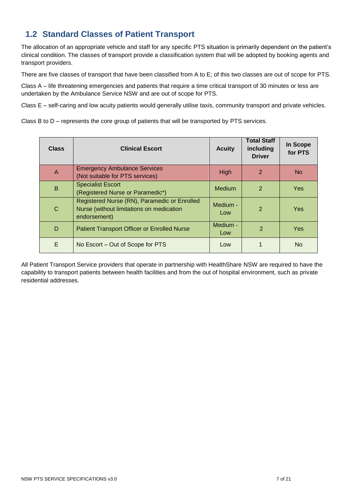# <span id="page-8-0"></span>**1.2 Standard Classes of Patient Transport**

The allocation of an appropriate vehicle and staff for any specific PTS situation is primarily dependent on the patient's clinical condition. The classes of transport provide a classification system that will be adopted by booking agents and transport providers.

There are five classes of transport that have been classified from A to E; of this two classes are out of scope for PTS.

Class A – life threatening emergencies and patients that require a time critical transport of 30 minutes or less are undertaken by the Ambulance Service NSW and are out of scope for PTS.

Class E – self-caring and low acuity patients would generally utilise taxis, community transport and private vehicles.

Class B to D – represents the core group of patients that will be transported by PTS services.

| <b>Class</b>  | <b>Clinical Escort</b>                                                                                   | <b>Acuity</b>   | <b>Total Staff</b><br>including<br><b>Driver</b> | In Scope<br>for PTS |
|---------------|----------------------------------------------------------------------------------------------------------|-----------------|--------------------------------------------------|---------------------|
| A             | <b>Emergency Ambulance Services</b><br>(Not suitable for PTS services)                                   | High            | $\mathcal{P}$                                    | <b>No</b>           |
| B             | <b>Specialist Escort</b><br>(Registered Nurse or Paramedic*)                                             | Medium          | $\overline{2}$                                   | Yes                 |
| $\mathcal{C}$ | Registered Nurse (RN), Paramedic or Enrolled<br>Nurse (without limitations on medication<br>endorsement) | Medium -<br>Low | $\mathcal{P}$                                    | Yes                 |
| D             | <b>Patient Transport Officer or Enrolled Nurse</b>                                                       | Medium -<br>Low | 2                                                | Yes                 |
| E             | No Escort – Out of Scope for PTS                                                                         | Low             |                                                  | <b>No</b>           |

All Patient Transport Service providers that operate in partnership with HealthShare NSW are required to have the capability to transport patients between health facilities and from the out of hospital environment, such as private residential addresses.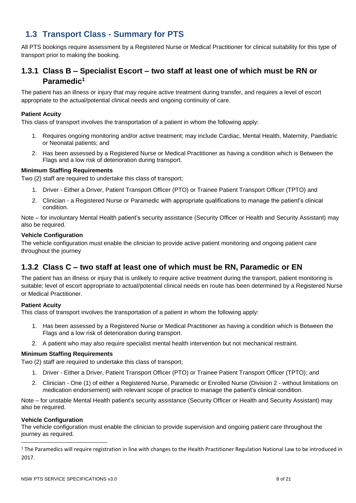# <span id="page-9-0"></span>**1.3 Transport Class - Summary for PTS**

All PTS bookings require assessment by a Registered Nurse or Medical Practitioner for clinical suitability for this type of transport prior to making the booking.

#### <span id="page-9-1"></span>**1.3.1 Class B – Specialist Escort – two staff at least one of which must be RN or Paramedic<sup>1</sup>**

The patient has an illness or injury that may require active treatment during transfer, and requires a level of escort appropriate to the actual/potential clinical needs and ongoing continuity of care.

#### **Patient Acuity**

This class of transport involves the transportation of a patient in whom the following apply:

- 1. Requires ongoing monitoring and/or active treatment; may include Cardiac, Mental Health, Maternity, Paediatric or Neonatal patients; and
- 2. Has been assessed by a Registered Nurse or Medical Practitioner as having a condition which is Between the Flags and a low risk of deterioration during transport.

#### **Minimum Staffing Requirements**

Two (2) staff are required to undertake this class of transport;

- 1. Driver Either a Driver, Patient Transport Officer (PTO) or Trainee Patient Transport Officer (TPTO) and
- 2. Clinician a Registered Nurse or Paramedic with appropriate qualifications to manage the patient's clinical condition.

Note – for involuntary Mental Health patient's security assistance (Security Officer or Health and Security Assistant) may also be required.

#### **Vehicle Configuration**

The vehicle configuration must enable the clinician to provide active patient monitoring and ongoing patient care throughout the journey

## <span id="page-9-2"></span>**1.3.2 Class C – two staff at least one of which must be RN, Paramedic or EN**

The patient has an illness or injury that is unlikely to require active treatment during the transport, patient monitoring is suitable; level of escort appropriate to actual/potential clinical needs en route has been determined by a Registered Nurse or Medical Practitioner.

#### **Patient Acuity**

This class of transport involves the transportation of a patient in whom the following apply:

- 1. Has been assessed by a Registered Nurse or Medical Practitioner as having a condition which is Between the Flags and a low risk of deterioration during transport.
- 2. A patient who may also require specialist mental health intervention but not mechanical restraint.

#### **Minimum Staffing Requirements**

Two (2) staff are required to undertake this class of transport;

- 1. Driver Either a Driver, Patient Transport Officer (PTO) or Trainee Patient Transport Officer (TPTO); and
- 2. Clinician One (1) of either a Registered Nurse, Paramedic or Enrolled Nurse (Division 2 without limitations on medication endorsement) with relevant scope of practice to manage the patient's clinical condition.

Note – for unstable Mental Health patient's security assistance (Security Officer or Health and Security Assistant) may also be required.

#### **Vehicle Configuration**

 $\overline{a}$ 

The vehicle configuration must enable the clinician to provide supervision and ongoing patient care throughout the journey as required.

 $1$  The Paramedics will require registration in line with changes to the Health Practitioner Regulation National Law to be introduced in 2017.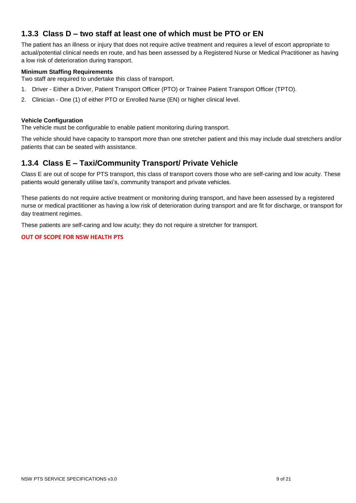# <span id="page-10-0"></span>**1.3.3 Class D – two staff at least one of which must be PTO or EN**

The patient has an illness or injury that does not require active treatment and requires a level of escort appropriate to actual/potential clinical needs en route, and has been assessed by a Registered Nurse or Medical Practitioner as having a low risk of deterioration during transport.

#### **Minimum Staffing Requirements**

Two staff are required to undertake this class of transport.

- 1. Driver Either a Driver, Patient Transport Officer (PTO) or Trainee Patient Transport Officer (TPTO).
- 2. Clinician One (1) of either PTO or Enrolled Nurse (EN) or higher clinical level.

#### **Vehicle Configuration**

The vehicle must be configurable to enable patient monitoring during transport.

The vehicle should have capacity to transport more than one stretcher patient and this may include dual stretchers and/or patients that can be seated with assistance.

#### <span id="page-10-1"></span>**1.3.4 Class E – Taxi/Community Transport/ Private Vehicle**

Class E are out of scope for PTS transport, this class of transport covers those who are self-caring and low acuity. These patients would generally utilise taxi's, community transport and private vehicles.

These patients do not require active treatment or monitoring during transport, and have been assessed by a registered nurse or medical practitioner as having a low risk of deterioration during transport and are fit for discharge, or transport for day treatment regimes.

These patients are self-caring and low acuity; they do not require a stretcher for transport.

#### **OUT OF SCOPE FOR NSW HEALTH PTS**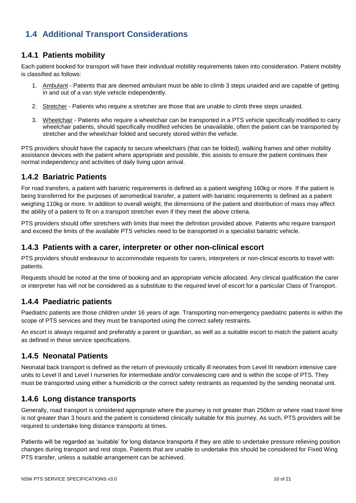# <span id="page-11-0"></span>**1.4 Additional Transport Considerations**

## <span id="page-11-1"></span>**1.4.1 Patients mobility**

Each patient booked for transport will have their individual mobility requirements taken into consideration. Patient mobility is classified as follows:

- 1. Ambulant Patients that are deemed ambulant must be able to climb 3 steps unaided and are capable of getting in and out of a van style vehicle independently.
- 2. Stretcher Patients who require a stretcher are those that are unable to climb three steps unaided.
- 3. Wheelchair Patients who require a wheelchair can be transported in a PTS vehicle specifically modified to carry wheelchair patients, should specifically modified vehicles be unavailable, often the patient can be transported by stretcher and the wheelchair folded and securely stored within the vehicle.

PTS providers should have the capacity to secure wheelchairs (that can be folded), walking frames and other mobility assistance devices with the patient where appropriate and possible, this assists to ensure the patient continues their normal independency and activities of daily living upon arrival.

#### <span id="page-11-2"></span>**1.4.2 Bariatric Patients**

For road transfers, a patient with bariatric requirements is defined as a patient weighing 160kg or more. If the patient is being transferred for the purposes of aeromedical transfer, a patient with bariatric requirements is defined as a patient weighing 110kg or more. In addition to overall weight, the dimensions of the patient and distribution of mass may affect the ability of a patient to fit on a transport stretcher even if they meet the above criteria.

PTS providers should offer stretchers with limits that meet the definition provided above. Patients who require transport and exceed the limits of the available PTS vehicles need to be transported in a specialist bariatric vehicle.

#### <span id="page-11-3"></span>**1.4.3 Patients with a carer, interpreter or other non-clinical escort**

PTS providers should endeavour to accommodate requests for carers, interpreters or non-clinical escorts to travel with patients.

Requests should be noted at the time of booking and an appropriate vehicle allocated. Any clinical qualification the carer or interpreter has will not be considered as a substitute to the required level of escort for a particular Class of Transport.

#### <span id="page-11-4"></span>**1.4.4 Paediatric patients**

Paediatric patients are those children under 16 years of age. Transporting non-emergency paediatric patients is within the scope of PTS services and they must be transported using the correct safety restraints.

An escort is always required and preferably a parent or guardian, as well as a suitable escort to match the patient acuity as defined in these service specifications.

#### <span id="page-11-5"></span>**1.4.5 Neonatal Patients**

Neonatal back transport is defined as the return of previously critically ill neonates from Level III newborn intensive care units to Level II and Level I nurseries for intermediate and/or convalescing care and is within the scope of PTS. They must be transported using either a humidicrib or the correct safety restraints as requested by the sending neonatal unit.

#### <span id="page-11-6"></span>**1.4.6 Long distance transports**

Generally, road transport is considered appropriate where the journey is not greater than 250km or where road travel time is not greater than 3 hours and the patient is considered clinically suitable for this journey. As such, PTS providers will be required to undertake long distance transports at times.

Patients will be regarded as 'suitable' for long distance transports if they are able to undertake pressure relieving position changes during transport and rest stops. Patients that are unable to undertake this should be considered for Fixed Wing PTS transfer, unless a suitable arrangement can be achieved.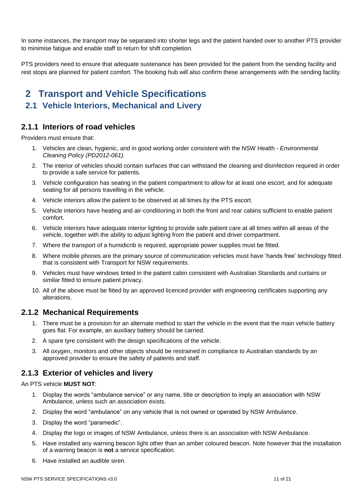In some instances, the transport may be separated into shorter legs and the patient handed over to another PTS provider to minimise fatigue and enable staff to return for shift completion.

PTS providers need to ensure that adequate sustenance has been provided for the patient from the sending facility and rest stops are planned for patient comfort. The booking hub will also confirm these arrangements with the sending facility.

# <span id="page-12-0"></span>**2 Transport and Vehicle Specifications**

# <span id="page-12-1"></span>**2.1 Vehicle Interiors, Mechanical and Livery**

## <span id="page-12-2"></span>**2.1.1 Interiors of road vehicles**

Providers must ensure that:

- 1. Vehicles are clean, hygienic, and in good working order consistent with the NSW Health *Environmental Cleaning Policy (PD2012-061).*
- 2. The interior of vehicles should contain surfaces that can withstand the cleaning and disinfection required in order to provide a safe service for patients.
- 3. Vehicle configuration has seating in the patient compartment to allow for at least one escort, and for adequate seating for all persons travelling in the vehicle.
- 4. Vehicle interiors allow the patient to be observed at all times by the PTS escort.
- 5. Vehicle interiors have heating and air-conditioning in both the front and rear cabins sufficient to enable patient comfort.
- 6. Vehicle interiors have adequate interior lighting to provide safe patient care at all times within all areas of the vehicle, together with the ability to adjust lighting from the patient and driver compartment.
- 7. Where the transport of a humidicrib is required, appropriate power supplies must be fitted.
- 8. Where mobile phones are the primary source of communication vehicles must have 'hands free' technology fitted that is consistent with Transport for NSW requirements.
- 9. Vehicles must have windows tinted in the patient cabin consistent with Australian Standards and curtains or similar fitted to ensure patient privacy.
- 10. All of the above must be fitted by an approved licenced provider with engineering certificates supporting any alterations.

#### <span id="page-12-3"></span>**2.1.2 Mechanical Requirements**

- 1. There must be a provision for an alternate method to start the vehicle in the event that the main vehicle battery goes flat. For example, an auxiliary battery should be carried.
- 2. A spare tyre consistent with the design specifications of the vehicle.
- 3. All oxygen, monitors and other objects should be restrained in compliance to Australian standards by an approved provider to ensure the safety of patients and staff.

## <span id="page-12-4"></span>**2.1.3 Exterior of vehicles and livery**

An PTS vehicle **MUST NOT**:

- 1. Display the words "ambulance service" or any name, title or description to imply an association with NSW Ambulance, unless such an association exists.
- 2. Display the word "ambulance" on any vehicle that is not owned or operated by NSW Ambulance.
- 3. Display the word "paramedic".
- 4. Display the logo or images of NSW Ambulance, unless there is an association with NSW Ambulance.
- 5. Have installed any warning beacon light other than an amber coloured beacon. Note however that the installation of a warning beacon is **not** a service specification.
- 6. Have installed an audible siren.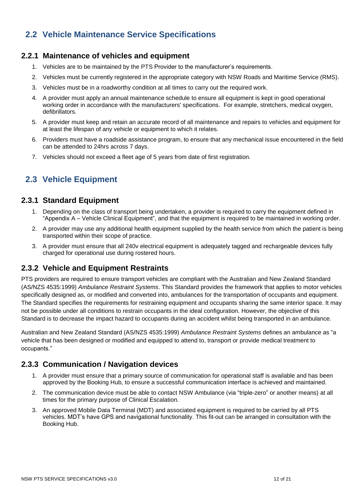# <span id="page-13-0"></span>**2.2 Vehicle Maintenance Service Specifications**

#### <span id="page-13-1"></span>**2.2.1 Maintenance of vehicles and equipment**

- 1. Vehicles are to be maintained by the PTS Provider to the manufacturer's requirements.
- 2. Vehicles must be currently registered in the appropriate category with NSW Roads and Maritime Service (RMS).
- 3. Vehicles must be in a roadworthy condition at all times to carry out the required work.
- 4. A provider must apply an annual maintenance schedule to ensure all equipment is kept in good operational working order in accordance with the manufacturers' specifications. For example, stretchers, medical oxygen, defibrillators.
- 5. A provider must keep and retain an accurate record of all maintenance and repairs to vehicles and equipment for at least the lifespan of any vehicle or equipment to which it relates.
- 6. Providers must have a roadside assistance program, to ensure that any mechanical issue encountered in the field can be attended to 24hrs across 7 days.
- 7. Vehicles should not exceed a fleet age of 5 years from date of first registration.

# <span id="page-13-2"></span>**2.3 Vehicle Equipment**

#### <span id="page-13-3"></span>**2.3.1 Standard Equipment**

- 1. Depending on the class of transport being undertaken, a provider is required to carry the equipment defined in "Appendix A – Vehicle Clinical Equipment", and that the equipment is required to be maintained in working order.
- 2. A provider may use any additional health equipment supplied by the health service from which the patient is being transported within their scope of practice.
- 3. A provider must ensure that all 240v electrical equipment is adequately tagged and rechargeable devices fully charged for operational use during rostered hours.

#### <span id="page-13-4"></span>**2.3.2 Vehicle and Equipment Restraints**

PTS providers are required to ensure transport vehicles are compliant with the Australian and New Zealand Standard (AS/NZS 4535:1999) *Ambulance Restraint Systems*. This Standard provides the framework that applies to motor vehicles specifically designed as, or modified and converted into, ambulances for the transportation of occupants and equipment. The Standard specifies the requirements for restraining equipment and occupants sharing the same interior space. It may not be possible under all conditions to restrain occupants in the ideal configuration. However, the objective of this Standard is to decrease the impact hazard to occupants during an accident whilst being transported in an ambulance.

Australian and New Zealand Standard (AS/NZS 4535:1999) *Ambulance Restraint Systems* defines an ambulance as "a vehicle that has been designed or modified and equipped to attend to, transport or provide medical treatment to occupants."

#### <span id="page-13-5"></span>**2.3.3 Communication / Navigation devices**

- 1. A provider must ensure that a primary source of communication for operational staff is available and has been approved by the Booking Hub, to ensure a successful communication interface is achieved and maintained.
- 2. The communication device must be able to contact NSW Ambulance (via "triple-zero" or another means) at all times for the primary purpose of Clinical Escalation.
- 3. An approved Mobile Data Terminal (MDT) and associated equipment is required to be carried by all PTS vehicles. MDT's have GPS and navigational functionality. This fit-out can be arranged in consultation with the Booking Hub.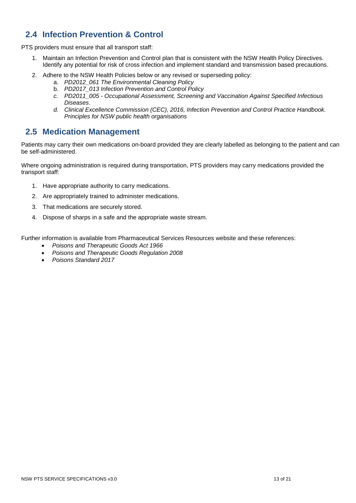# <span id="page-14-0"></span>**2.4 Infection Prevention & Control**

PTS providers must ensure that all transport staff:

- 1. Maintain an Infection Prevention and Control plan that is consistent with the NSW Health Policy Directives. Identify any potential for risk of cross infection and implement standard and transmission based precautions.
- 2. Adhere to the NSW Health Policies below or any revised or superseding policy:
	- a. *PD2012\_061 The Environmental Cleaning Policy*
	- b. *PD2017\_013 Infection Prevention and Control Policy*
	- *c. PD2011\_005 - Occupational Assessment, Screening and Vaccination Against Specified Infectious Diseases*.
	- *d. Clinical Excellence Commission (CEC), 2016, Infection Prevention and Control Practice Handbook. Principles for NSW public health organisations*

# <span id="page-14-1"></span>**2.5 Medication Management**

Patients may carry their own medications on-board provided they are clearly labelled as belonging to the patient and can be self-administered.

Where ongoing administration is required during transportation, PTS providers may carry medications provided the transport staff:

- 1. Have appropriate authority to carry medications.
- 2. Are appropriately trained to administer medications.
- 3. That medications are securely stored.
- 4. Dispose of sharps in a safe and the appropriate waste stream.

Further information is available from Pharmaceutical Services Resources website and these references:

- *Poisons and Therapeutic Goods Act 1966*
- *Poisons and Therapeutic Goods Regulation 2008*
- *Poisons Standard 2017*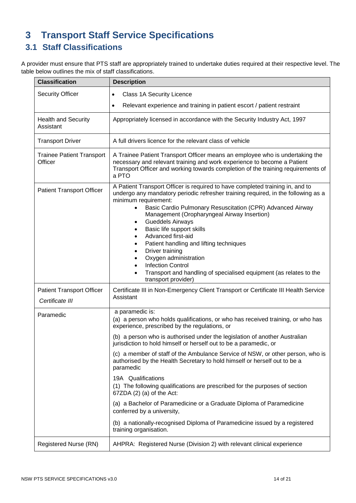# <span id="page-15-1"></span><span id="page-15-0"></span>**3 Transport Staff Service Specifications 3.1 Staff Classifications**

A provider must ensure that PTS staff are appropriately trained to undertake duties required at their respective level. The table below outlines the mix of staff classifications.

| <b>Classification</b>                               | <b>Description</b>                                                                                                                                                                                                                                                                                                                                                                                                                                                                                                                                                                                                                                                                                                                                                                                                                   |  |  |  |
|-----------------------------------------------------|--------------------------------------------------------------------------------------------------------------------------------------------------------------------------------------------------------------------------------------------------------------------------------------------------------------------------------------------------------------------------------------------------------------------------------------------------------------------------------------------------------------------------------------------------------------------------------------------------------------------------------------------------------------------------------------------------------------------------------------------------------------------------------------------------------------------------------------|--|--|--|
| <b>Security Officer</b>                             | <b>Class 1A Security Licence</b><br>٠                                                                                                                                                                                                                                                                                                                                                                                                                                                                                                                                                                                                                                                                                                                                                                                                |  |  |  |
|                                                     | Relevant experience and training in patient escort / patient restraint                                                                                                                                                                                                                                                                                                                                                                                                                                                                                                                                                                                                                                                                                                                                                               |  |  |  |
| <b>Health and Security</b><br>Assistant             | Appropriately licensed in accordance with the Security Industry Act, 1997                                                                                                                                                                                                                                                                                                                                                                                                                                                                                                                                                                                                                                                                                                                                                            |  |  |  |
| <b>Transport Driver</b>                             | A full drivers licence for the relevant class of vehicle                                                                                                                                                                                                                                                                                                                                                                                                                                                                                                                                                                                                                                                                                                                                                                             |  |  |  |
| <b>Trainee Patient Transport</b><br>Officer         | A Trainee Patient Transport Officer means an employee who is undertaking the<br>necessary and relevant training and work experience to become a Patient<br>Transport Officer and working towards completion of the training requirements of<br>a PTO                                                                                                                                                                                                                                                                                                                                                                                                                                                                                                                                                                                 |  |  |  |
| <b>Patient Transport Officer</b>                    | A Patient Transport Officer is required to have completed training in, and to<br>undergo any mandatory periodic refresher training required, in the following as a<br>minimum requirement:<br>Basic Cardio Pulmonary Resuscitation (CPR) Advanced Airway<br>Management (Oropharyngeal Airway Insertion)<br><b>Gueddels Airways</b><br>$\bullet$<br>Basic life support skills<br>Advanced first-aid<br>Patient handling and lifting techniques<br>Driver training<br>Oxygen administration<br><b>Infection Control</b><br>Transport and handling of specialised equipment (as relates to the<br>transport provider)                                                                                                                                                                                                                   |  |  |  |
| <b>Patient Transport Officer</b><br>Certificate III | Certificate III in Non-Emergency Client Transport or Certificate III Health Service<br>Assistant                                                                                                                                                                                                                                                                                                                                                                                                                                                                                                                                                                                                                                                                                                                                     |  |  |  |
| Paramedic                                           | a paramedic is:<br>(a) a person who holds qualifications, or who has received training, or who has<br>experience, prescribed by the regulations, or<br>(b) a person who is authorised under the legislation of another Australian<br>jurisdiction to hold himself or herself out to be a paramedic, or<br>(c) a member of staff of the Ambulance Service of NSW, or other person, who is<br>authorised by the Health Secretary to hold himself or herself out to be a<br>paramedic<br>19A Qualifications<br>(1) The following qualifications are prescribed for the purposes of section<br>$67ZDA$ (2) (a) of the Act:<br>(a) a Bachelor of Paramedicine or a Graduate Diploma of Paramedicine<br>conferred by a university,<br>(b) a nationally-recognised Diploma of Paramedicine issued by a registered<br>training organisation. |  |  |  |
| Registered Nurse (RN)                               | AHPRA: Registered Nurse (Division 2) with relevant clinical experience                                                                                                                                                                                                                                                                                                                                                                                                                                                                                                                                                                                                                                                                                                                                                               |  |  |  |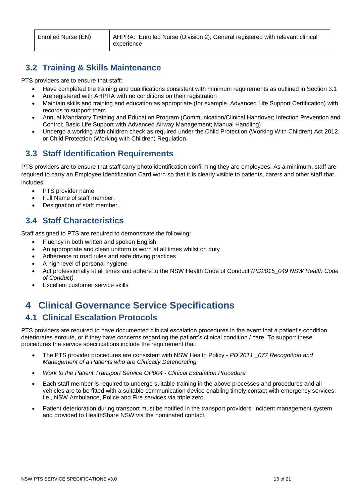# <span id="page-16-0"></span>**3.2 Training & Skills Maintenance**

PTS providers are to ensure that staff:

- Have completed the training and qualifications consistent with minimum requirements as outlined in Section 3.1
- Are registered with AHPRA with no conditions on their registration
- Maintain skills and training and education as appropriate (for example. Advanced Life Support Certification) with records to support them.
- Annual Mandatory Training and Education Program (Communication/Clinical Handover; Infection Prevention and Control; Basic Life Support with Advanced Airway Management; Manual Handling)
- Undergo a working with children check as required under the Child Protection (Working With Children) Act 2012. or Child Protection (Working with Children) Regulation.

# <span id="page-16-1"></span>**3.3 Staff Identification Requirements**

PTS providers are to ensure that staff carry photo identification confirming they are employees. As a minimum, staff are required to carry an Employee Identification Card worn so that it is clearly visible to patients, carers and other staff that includes;

- PTS provider name.
- Full Name of staff member.
- Designation of staff member.

# <span id="page-16-2"></span>**3.4 Staff Characteristics**

Staff assigned to PTS are required to demonstrate the following:

- Fluency in both written and spoken English
- An appropriate and clean uniform is worn at all times whilst on duty
- Adherence to road rules and safe driving practices
- A high level of personal hygiene
- Act professionally at all times and adhere to the NSW Health Code of Conduct *(PD2015\_049 NSW Health Code of Conduct)*
- Excellent customer service skills

# <span id="page-16-4"></span><span id="page-16-3"></span>**4 Clinical Governance Service Specifications 4.1 Clinical Escalation Protocols**

PTS providers are required to have documented clinical escalation procedures in the event that a patient's condition deteriorates enroute, or if they have concerns regarding the patient's clinical condition / care. To support these procedures the service specifications include the requirement that:

- The PTS provider procedures are consistent with NSW Health Policy *PD 2011 \_077 Recognition and Management of a Patients who are Clinically Deteriorating*
- *Work to the Patient Transport Service OP004 - Clinical Escalation Procedure*
- Each staff member is required to undergo suitable training in the above processes and procedures and all vehicles are to be fitted with a suitable communication device enabling timely contact with emergency services; i.e., NSW Ambulance, Police and Fire services via triple zero.
- Patient deterioration during transport must be notified in the transport providers' incident management system and provided to HealthShare NSW via the nominated contact.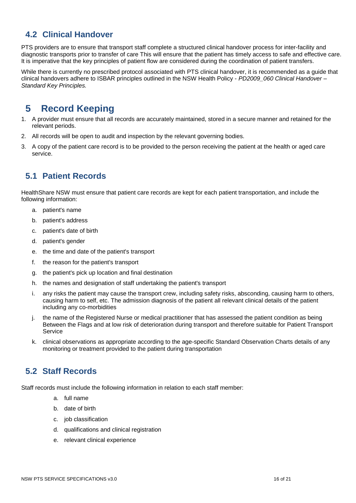# <span id="page-17-0"></span>**4.2 Clinical Handover**

PTS providers are to ensure that transport staff complete a structured clinical handover process for inter-facility and diagnostic transports prior to transfer of care This will ensure that the patient has timely access to safe and effective care. It is imperative that the key principles of patient flow are considered during the coordination of patient transfers.

While there is currently no prescribed protocol associated with PTS clinical handover, it is recommended as a guide that clinical handovers adhere to ISBAR principles outlined in the NSW Health Policy - *PD2009\_060 Clinical Handover – Standard Key Principles.* 

# <span id="page-17-1"></span>**5 Record Keeping**

- 1. A provider must ensure that all records are accurately maintained, stored in a secure manner and retained for the relevant periods.
- 2. All records will be open to audit and inspection by the relevant governing bodies.
- 3. A copy of the patient care record is to be provided to the person receiving the patient at the health or aged care service.

# <span id="page-17-2"></span>**5.1 Patient Records**

HealthShare NSW must ensure that patient care records are kept for each patient transportation, and include the following information:

- a. patient's name
- b. patient's address
- c. patient's date of birth
- d. patient's gender
- e. the time and date of the patient's transport
- f. the reason for the patient's transport
- g. the patient's pick up location and final destination
- h. the names and designation of staff undertaking the patient's transport
- i. any risks the patient may cause the transport crew, including safety risks, absconding, causing harm to others, causing harm to self, etc. The admission diagnosis of the patient all relevant clinical details of the patient including any co-morbidities
- the name of the Registered Nurse or medical practitioner that has assessed the patient condition as being Between the Flags and at low risk of deterioration during transport and therefore suitable for Patient Transport **Service**
- k. clinical observations as appropriate according to the age-specific Standard Observation Charts details of any monitoring or treatment provided to the patient during transportation

# <span id="page-17-3"></span>**5.2 Staff Records**

Staff records must include the following information in relation to each staff member:

- a. full name
- b. date of birth
- c. job classification
- d. qualifications and clinical registration
- e. relevant clinical experience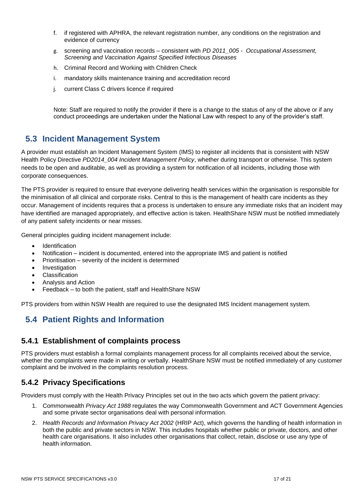- f. if registered with APHRA, the relevant registration number, any conditions on the registration and evidence of currency
- g. screening and vaccination records consistent with *PD 2011\_005 - Occupational Assessment, Screening and Vaccination Against Specified Infectious Diseases*
- h. Criminal Record and Working with Children Check
- i. mandatory skills maintenance training and accreditation record
- j. current Class C drivers licence if required

Note: Staff are required to notify the provider if there is a change to the status of any of the above or if any conduct proceedings are undertaken under the National Law with respect to any of the provider's staff.

# <span id="page-18-0"></span>**5.3 Incident Management System**

A provider must establish an Incident Management System (IMS) to register all incidents that is consistent with NSW Health Policy Directive *PD2014\_004 Incident Management Policy*, whether during transport or otherwise. This system needs to be open and auditable, as well as providing a system for notification of all incidents, including those with corporate consequences.

The PTS provider is required to ensure that everyone delivering health services within the organisation is responsible for the minimisation of all clinical and corporate risks. Central to this is the management of health care incidents as they occur. Management of incidents requires that a process is undertaken to ensure any immediate risks that an incident may have identified are managed appropriately, and effective action is taken. HealthShare NSW must be notified immediately of any patient safety incidents or near misses.

General principles guiding incident management include:

- Identification
- Notification incident is documented, entered into the appropriate IMS and patient is notified
- Prioritisation severity of the incident is determined
- Investigation
- Classification
- Analysis and Action
- Feedback to both the patient, staff and HealthShare NSW

PTS providers from within NSW Health are required to use the designated IMS Incident management system.

# <span id="page-18-1"></span>**5.4 Patient Rights and Information**

#### <span id="page-18-2"></span>**5.4.1 Establishment of complaints process**

PTS providers must establish a formal complaints management process for all complaints received about the service, whether the complaints were made in writing or verbally. HealthShare NSW must be notified immediately of any customer complaint and be involved in the complaints resolution process.

#### <span id="page-18-3"></span>**5.4.2 Privacy Specifications**

Providers must comply with the Health Privacy Principles set out in the two acts which govern the patient privacy:

- 1. Commonwealth *Privacy Act 1988* regulates the way Commonwealth Government and ACT Government Agencies and some private sector organisations deal with personal information.
- 2. *Health Records and Information Privacy Act 2002* (HRIP Act), which governs the handling of health information in both the public and private sectors in NSW. This includes hospitals whether public or private, doctors, and other health care organisations. It also includes other organisations that collect, retain, disclose or use any type of health information.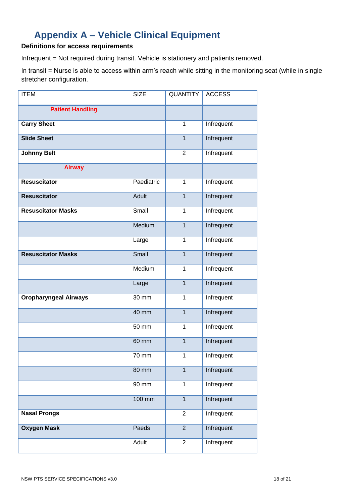# **Appendix A – Vehicle Clinical Equipment**

#### <span id="page-19-0"></span>**Definitions for access requirements**

Infrequent = Not required during transit. Vehicle is stationery and patients removed.

In transit = Nurse is able to access within arm's reach while sitting in the monitoring seat (while in single stretcher configuration.

| <b>ITEM</b>                  | <b>SIZE</b>  | <b>QUANTITY</b> | <b>ACCESS</b>     |
|------------------------------|--------------|-----------------|-------------------|
| <b>Patient Handling</b>      |              |                 |                   |
| <b>Carry Sheet</b>           |              | $\mathbf{1}$    | Infrequent        |
| <b>Slide Sheet</b>           |              | $\mathbf{1}$    | Infrequent        |
| <b>Johnny Belt</b>           |              | $\overline{2}$  | Infrequent        |
| <b>Airway</b>                |              |                 |                   |
| <b>Resuscitator</b>          | Paediatric   | 1               | Infrequent        |
| <b>Resuscitator</b>          | <b>Adult</b> | $\overline{1}$  | Infrequent        |
| <b>Resuscitator Masks</b>    | Small        | 1               | <b>Infrequent</b> |
|                              | Medium       | $\overline{1}$  | Infrequent        |
|                              | Large        | 1               | Infrequent        |
| <b>Resuscitator Masks</b>    | Small        | $\overline{1}$  | Infrequent        |
|                              | Medium       | 1               | Infrequent        |
|                              | Large        | $\overline{1}$  | Infrequent        |
| <b>Oropharyngeal Airways</b> | 30 mm        | 1               | Infrequent        |
|                              | $40$ mm      | $\mathbf{1}$    | Infrequent        |
|                              | 50 mm        | 1               | Infrequent        |
|                              | 60 mm        | $\mathbf{1}$    | Infrequent        |
|                              | 70 mm        | $\mathbf{1}$    | Infrequent        |
|                              | 80 mm        | $\overline{1}$  | Infrequent        |
|                              | 90 mm        | $\mathbf{1}$    | Infrequent        |
|                              | 100 mm       | $\overline{1}$  | Infrequent        |
| <b>Nasal Prongs</b>          |              | $\overline{2}$  | Infrequent        |
| <b>Oxygen Mask</b>           | Paeds        | $\overline{2}$  | Infrequent        |
|                              | Adult        | $\overline{2}$  | Infrequent        |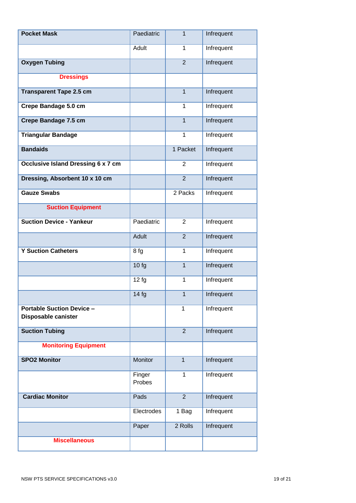| <b>Pocket Mask</b>                                      | Paediatric       | $\mathbf{1}$   | Infrequent |
|---------------------------------------------------------|------------------|----------------|------------|
|                                                         | Adult            | 1              | Infrequent |
| <b>Oxygen Tubing</b>                                    |                  | $\overline{2}$ | Infrequent |
| <b>Dressings</b>                                        |                  |                |            |
| <b>Transparent Tape 2.5 cm</b>                          |                  | $\mathbf{1}$   | Infrequent |
| Crepe Bandage 5.0 cm                                    |                  | 1              | Infrequent |
| <b>Crepe Bandage 7.5 cm</b>                             |                  | $\mathbf{1}$   | Infrequent |
| <b>Triangular Bandage</b>                               |                  | 1              | Infrequent |
| <b>Bandaids</b>                                         |                  | 1 Packet       | Infrequent |
| <b>Occlusive Island Dressing 6 x 7 cm</b>               |                  | $\overline{2}$ | Infrequent |
| Dressing, Absorbent 10 x 10 cm                          |                  | $\overline{2}$ | Infrequent |
| <b>Gauze Swabs</b>                                      |                  | 2 Packs        | Infrequent |
| <b>Suction Equipment</b>                                |                  |                |            |
| <b>Suction Device - Yankeur</b>                         | Paediatric       | $\overline{2}$ | Infrequent |
|                                                         | Adult            | $\overline{2}$ | Infrequent |
| <b>Y Suction Catheters</b>                              | 8 fg             | $\mathbf{1}$   | Infrequent |
|                                                         | 10fg             | $\mathbf{1}$   | Infrequent |
|                                                         | 12fg             | $\mathbf{1}$   | Infrequent |
|                                                         | 14 fq            | $\mathbf{1}$   | Infrequent |
| <b>Portable Suction Device -</b><br>Disposable canister |                  | $\mathbf{1}$   | Infrequent |
| <b>Suction Tubing</b>                                   |                  | $\overline{2}$ | Infrequent |
| <b>Monitoring Equipment</b>                             |                  |                |            |
| <b>SPO2 Monitor</b>                                     | Monitor          | $\mathbf{1}$   | Infrequent |
|                                                         | Finger<br>Probes | 1              | Infrequent |
| <b>Cardiac Monitor</b>                                  | Pads             | $\overline{2}$ | Infrequent |
|                                                         | Electrodes       | 1 Bag          | Infrequent |
|                                                         | Paper            | 2 Rolls        | Infrequent |
| <b>Miscellaneous</b>                                    |                  |                |            |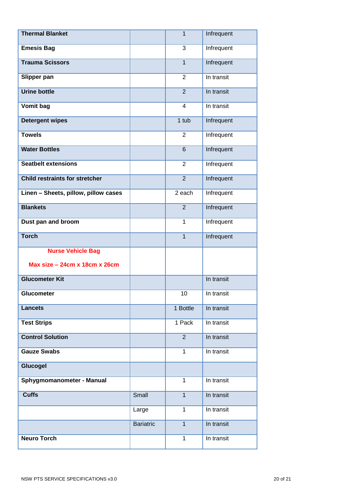| <b>Thermal Blanket</b>                |                  | 1              | Infrequent |
|---------------------------------------|------------------|----------------|------------|
| <b>Emesis Bag</b>                     |                  | 3              | Infrequent |
| <b>Trauma Scissors</b>                |                  | $\mathbf{1}$   | Infrequent |
| Slipper pan                           |                  | 2              | In transit |
| <b>Urine bottle</b>                   |                  | $\overline{2}$ | In transit |
| Vomit bag                             |                  | $\overline{4}$ | In transit |
| <b>Detergent wipes</b>                |                  | $1$ tub        | Infrequent |
| <b>Towels</b>                         |                  | 2              | Infrequent |
| <b>Water Bottles</b>                  |                  | $6\phantom{1}$ | Infrequent |
| <b>Seatbelt extensions</b>            |                  | $\overline{2}$ | Infrequent |
| <b>Child restraints for stretcher</b> |                  | $\overline{2}$ | Infrequent |
| Linen - Sheets, pillow, pillow cases  |                  | 2 each         | Infrequent |
| <b>Blankets</b>                       |                  | $\overline{2}$ | Infrequent |
| Dust pan and broom                    |                  | 1              | Infrequent |
| <b>Torch</b>                          |                  | $\mathbf{1}$   | Infrequent |
| <b>Nurse Vehicle Bag</b>              |                  |                |            |
| Max size - 24cm x 18cm x 26cm         |                  |                |            |
| <b>Glucometer Kit</b>                 |                  |                | In transit |
| <b>Glucometer</b>                     |                  | 10             | In transit |
| <b>Lancets</b>                        |                  | 1 Bottle       | In transit |
| <b>Test Strips</b>                    |                  | 1 Pack         | In transit |
| <b>Control Solution</b>               |                  | $\overline{2}$ | In transit |
| <b>Gauze Swabs</b>                    |                  | 1              | In transit |
| Glucogel                              |                  |                |            |
| Sphygmomanometer - Manual             |                  | 1              | In transit |
| <b>Cuffs</b>                          | Small            | $\mathbf{1}$   | In transit |
|                                       | Large            | 1              | In transit |
|                                       | <b>Bariatric</b> | $\mathbf{1}$   | In transit |
| <b>Neuro Torch</b>                    |                  | 1              | In transit |